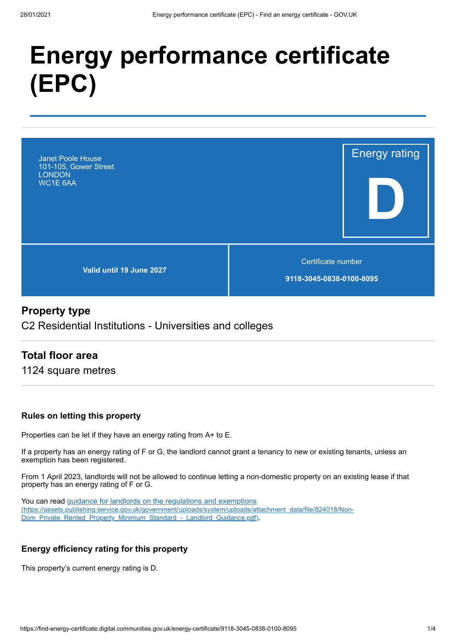# **Energy performance certificate (EPC)**



# **Property type**

C2 Residential Institutions - Universities and colleges

# **Total floor area**

1124 square metres

#### **Rules on letting this property**

Properties can be let if they have an energy rating from A+ to E.

If a property has an energy rating of F or G, the landlord cannot grant a tenancy to new or existing tenants, unless an exemption has been registered.

From 1 April 2023, landlords will not be allowed to continue letting a non-domestic property on an existing lease if that property has an energy rating of F or G.

You can read guidance for landlords on the regulations and exemptions [\(https://assets.publishing.service.gov.uk/government/uploads/system/uploads/attachment\\_data/file/824018/Non-](https://assets.publishing.service.gov.uk/government/uploads/system/uploads/attachment_data/file/824018/Non-Dom_Private_Rented_Property_Minimum_Standard_-_Landlord_Guidance.pdf)Dom\_Private\_Rented\_Property\_Minimum\_Standard\_-\_Landlord\_Guidance.pdf).

#### **Energy efficiency rating for this property**

This property's current energy rating is D.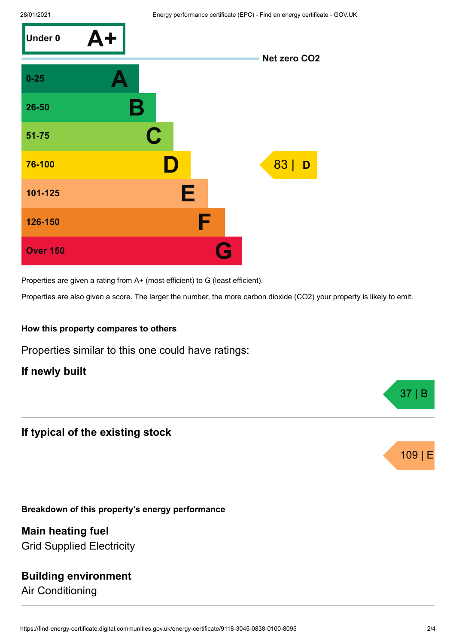

Properties are given a rating from A+ (most efficient) to G (least efficient).

Properties are also given a score. The larger the number, the more carbon dioxide (CO2) your property is likely to emit.

#### **How this property compares to others**

Properties similar to this one could have ratings:

**If newly built**

# **If typical of the existing stock**

**Breakdown of this property's energy performance**

**Main heating fuel** Grid Supplied Electricity

# **Building environment**

Air Conditioning





37 | B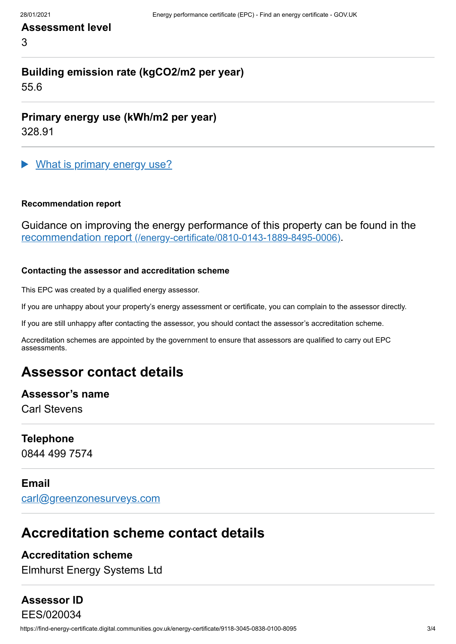## **Assessment level**

3

# **Building emission rate (kgCO2/m2 per year)**

55.6

**Primary energy use (kWh/m2 per year)**

328.91

What is primary energy use?

#### **Recommendation report**

Guidance on improving the energy performance of this property can be found in the recommendation report [\(/energy-certificate/0810-0143-1889-8495-0006\)](https://find-energy-certificate.digital.communities.gov.uk/energy-certificate/0810-0143-1889-8495-0006).

#### **Contacting the assessor and accreditation scheme**

This EPC was created by a qualified energy assessor.

If you are unhappy about your property's energy assessment or certificate, you can complain to the assessor directly.

If you are still unhappy after contacting the assessor, you should contact the assessor's accreditation scheme.

Accreditation schemes are appointed by the government to ensure that assessors are qualified to carry out EPC assessments.

# **Assessor contact details**

#### **Assessor's name**

Carl Stevens

### **Telephone**

0844 499 7574

#### **Email**

[carl@greenzonesurveys.com](mailto:carl@greenzonesurveys.com)

# **Accreditation scheme contact details**

#### **Accreditation scheme**

Elmhurst Energy Systems Ltd

# **Assessor ID**

https://find-energy-certificate.digital.communities.gov.uk/energy-certificate/9118-3045-0838-0100-8095 3/4 EES/020034